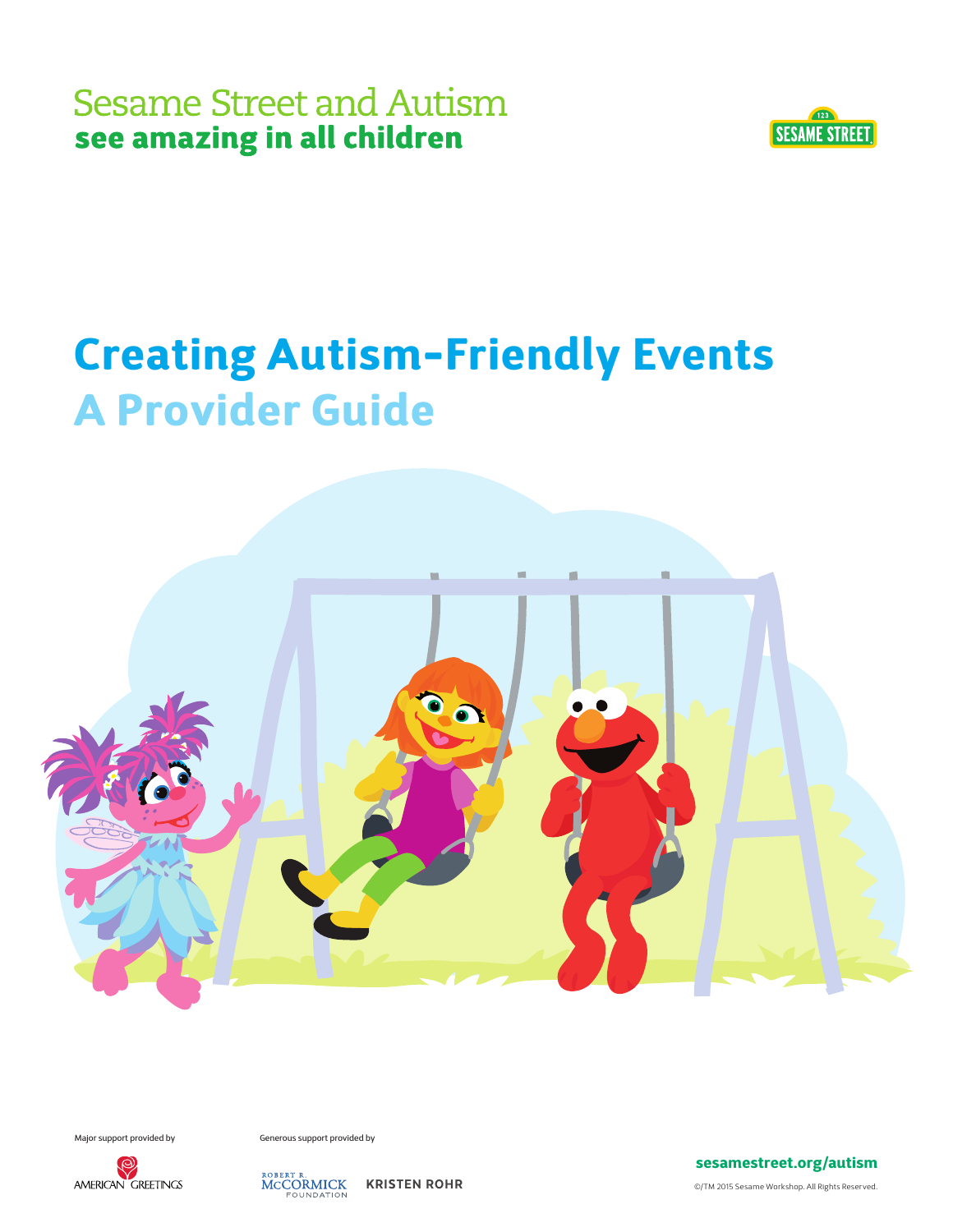

# Creating Autism-Friendly Events A Provider Guide



Major support provided by Generous support provided by





sesamestreet.org/autism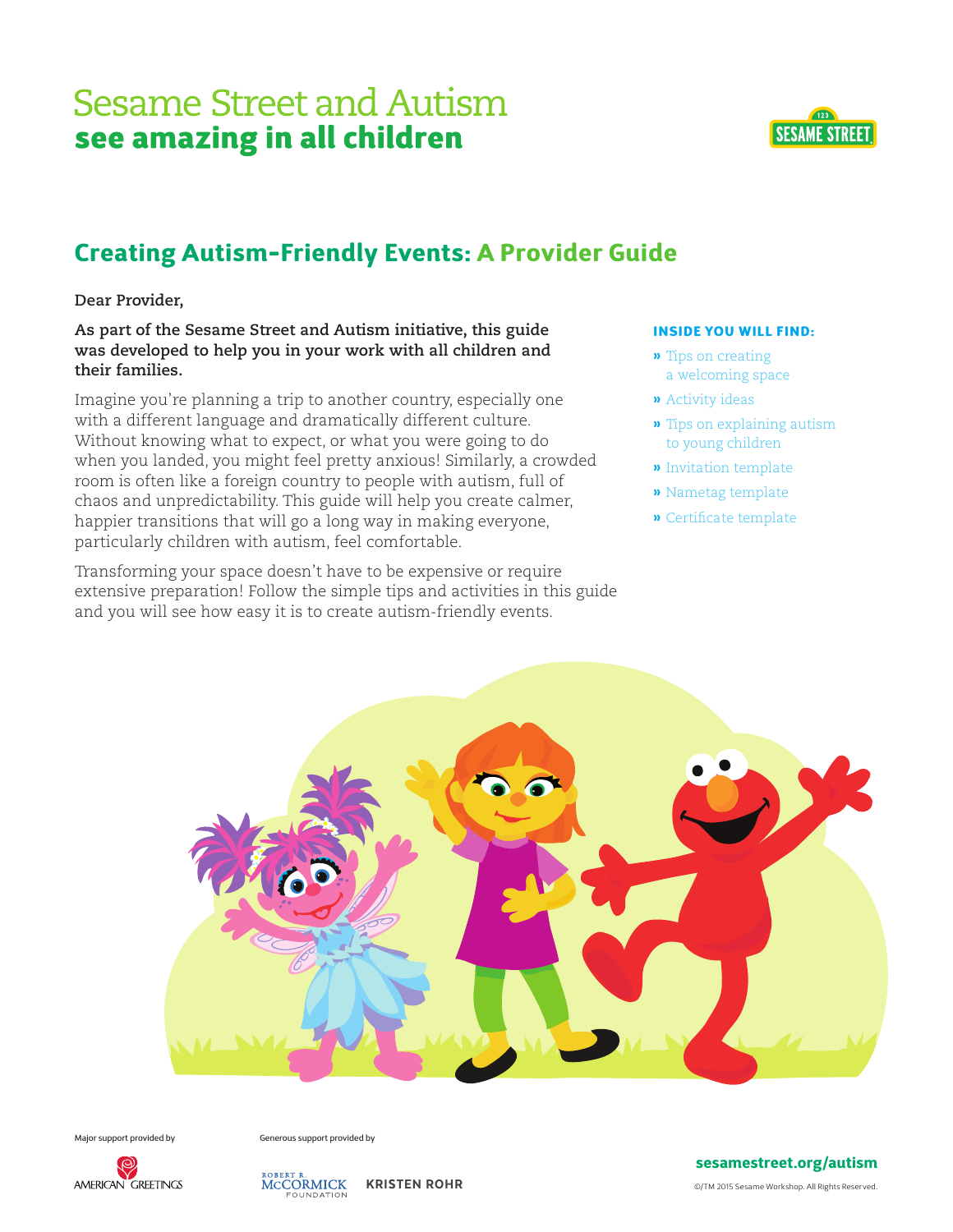

### Creating Autism-Friendly Events: A Provider Guide

**Dear Provider,**

**As part of the Sesame Street and Autism initiative, this guide was developed to help you in your work with all children and their families.** 

Imagine you're planning a trip to another country, especially one with a different language and dramatically different culture. Without knowing what to expect, or what you were going to do when you landed, you might feel pretty anxious! Similarly, a crowded room is often like a foreign country to people with autism, full of chaos and unpredictability. This guide will help you create calmer, happier transitions that will go a long way in making everyone, particularly children with autism, feel comfortable.

Transforming your space doesn't have to be expensive or require extensive preparation! Follow the simple tips and activities in this guide and you will see how easy it is to create autism-friendly events.

#### INSIDE YOU WILL FIND:

- **»** Tips on creating a welcoming space
- **»** Activity ideas
- **»** Tips on explaining autism to young children
- **»** Invitation template
- **»** Nametag template
- **»** Certificate template



Major support provided by Generous support provided by



ROBERT R.<br>MCCORMICK KRISTEN ROHR

#### sesamestreet.org/autism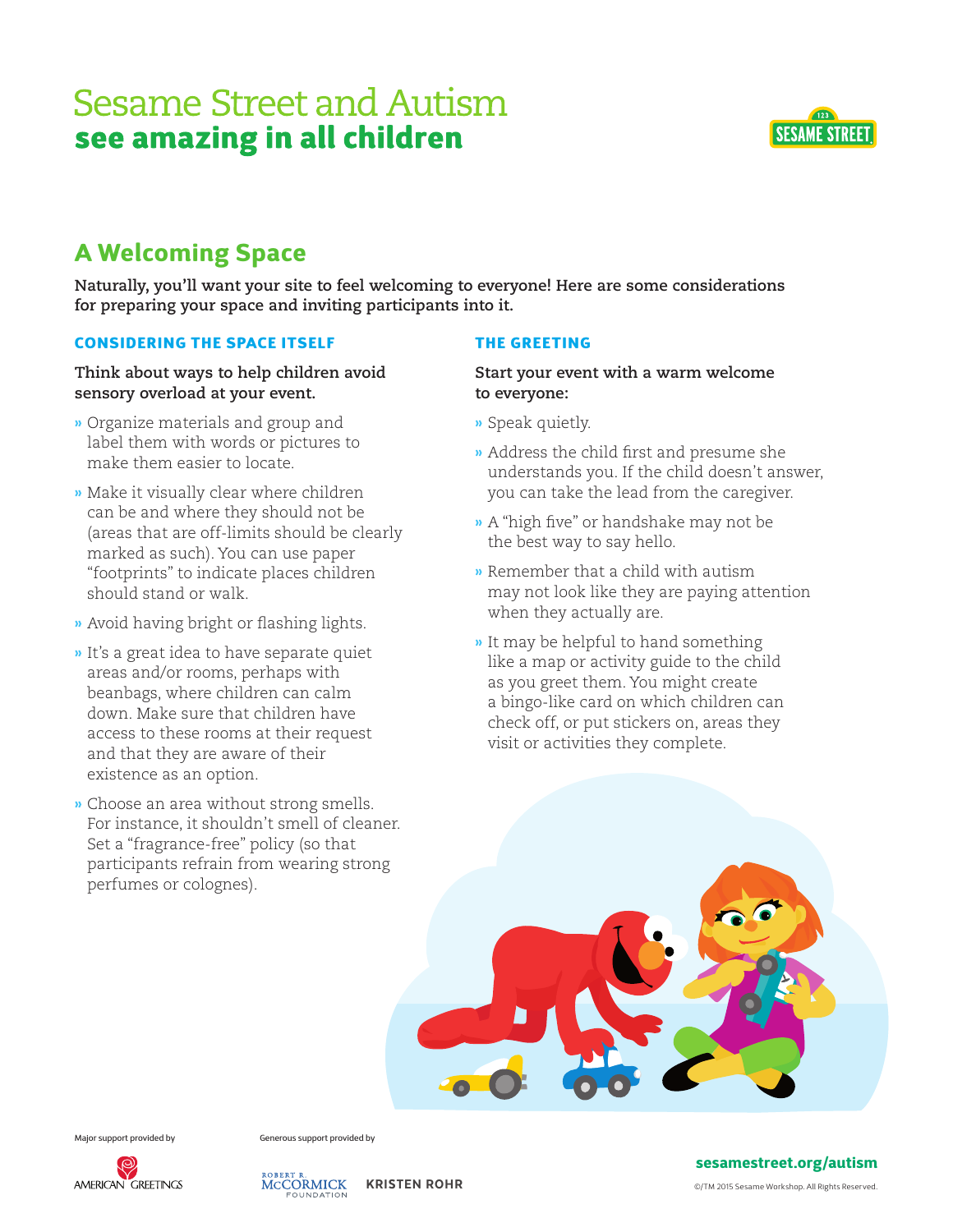

### A Welcoming Space

**Naturally, you'll want your site to feel welcoming to everyone! Here are some considerations for preparing your space and inviting participants into it.** 

#### CONSIDERING THE SPACE ITSELF

#### **Think about ways to help children avoid sensory overload at your event.**

- **»** Organize materials and group and label them with words or pictures to make them easier to locate.
- **»** Make it visually clear where children can be and where they should not be (areas that are off-limits should be clearly marked as such). You can use paper "footprints" to indicate places children should stand or walk.
- **»** Avoid having bright or flashing lights.
- **»** It's a great idea to have separate quiet areas and/or rooms, perhaps with beanbags, where children can calm down. Make sure that children have access to these rooms at their request and that they are aware of their existence as an option.
- **»** Choose an area without strong smells. For instance, it shouldn't smell of cleaner. Set a "fragrance-free" policy (so that participants refrain from wearing strong perfumes or colognes).

#### THE GREETING

#### **Start your event with a warm welcome to everyone:**

- **»** Speak quietly.
- **»** Address the child first and presume she understands you. If the child doesn't answer, you can take the lead from the caregiver.
- **»** A "high five" or handshake may not be the best way to say hello.
- **»** Remember that a child with autism may not look like they are paying attention when they actually are.
- **»** It may be helpful to hand something like a map or activity guide to the child as you greet them. You might create a bingo-like card on which children can check off, or put stickers on, areas they visit or activities they complete.



Major support provided by Generous support provided by



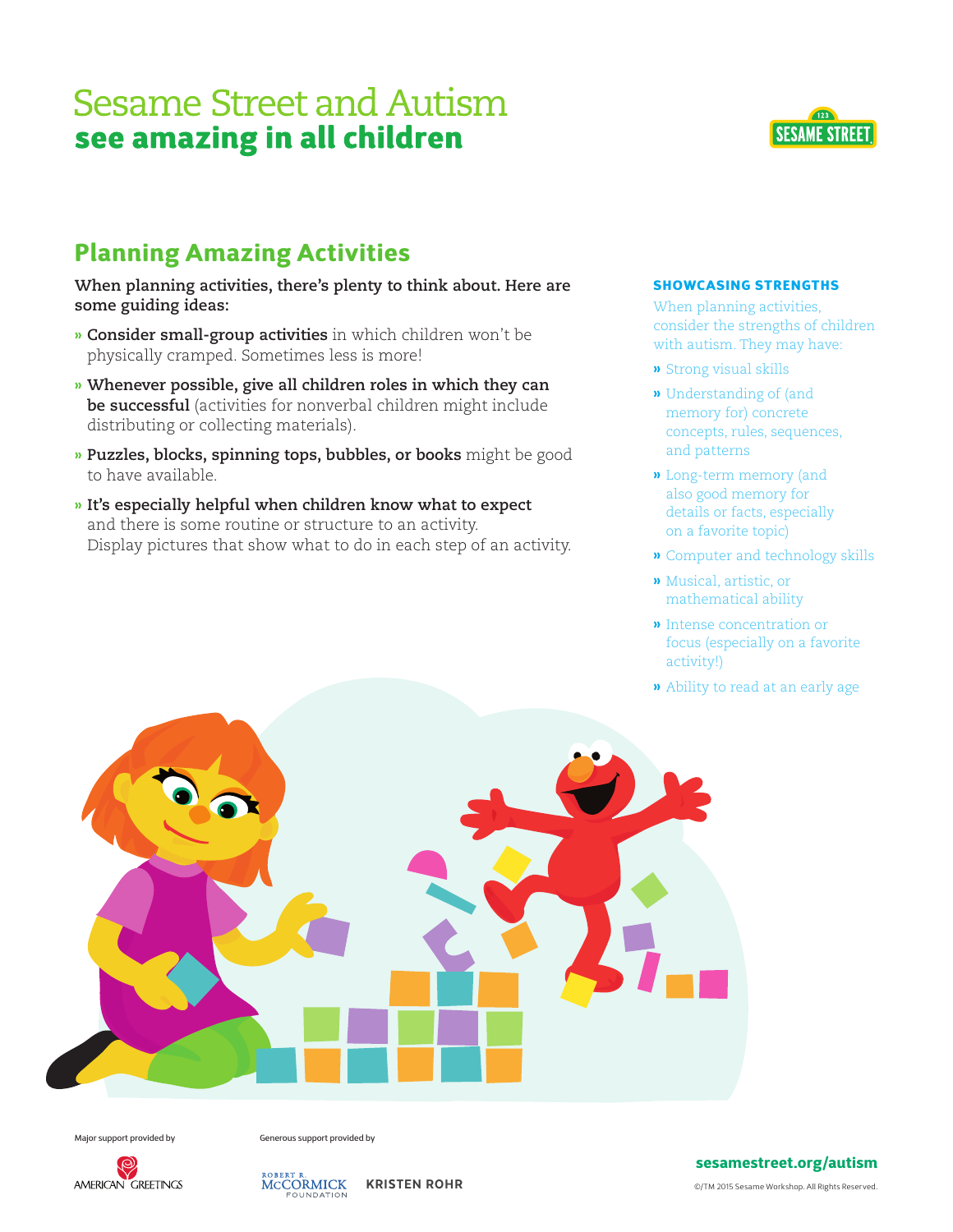

**When planning activities, there's plenty to think about. Here are some guiding ideas:** 

- **» Consider small-group activities** in which children won't be physically cramped. Sometimes less is more!
- **» Whenever possible, give all children roles in which they can be successful** (activities for nonverbal children might include distributing or collecting materials).
- **» Puzzles, blocks, spinning tops, bubbles, or books** might be good to have available.
- **» It's especially helpful when children know what to expect** and there is some routine or structure to an activity. Display pictures that show what to do in each step of an activity.



When planning activities, consider the strengths of children with autism. They may have:

 $\sqrt{123}$ 

**SESAME STREET** 

- **»** Strong visual skills
- **»** Understanding of (and memory for) concrete concepts, rules, sequences, and patterns
- **»** Long-term memory (and also good memory for details or facts, especially on a favorite topic)
- **»** Computer and technology skills
- **»** Musical, artistic, or mathematical ability
- **»** Intense concentration or focus (especially on a favorite activity!)
- **»** Ability to read at an early age



Major support provided by Generous support provided by



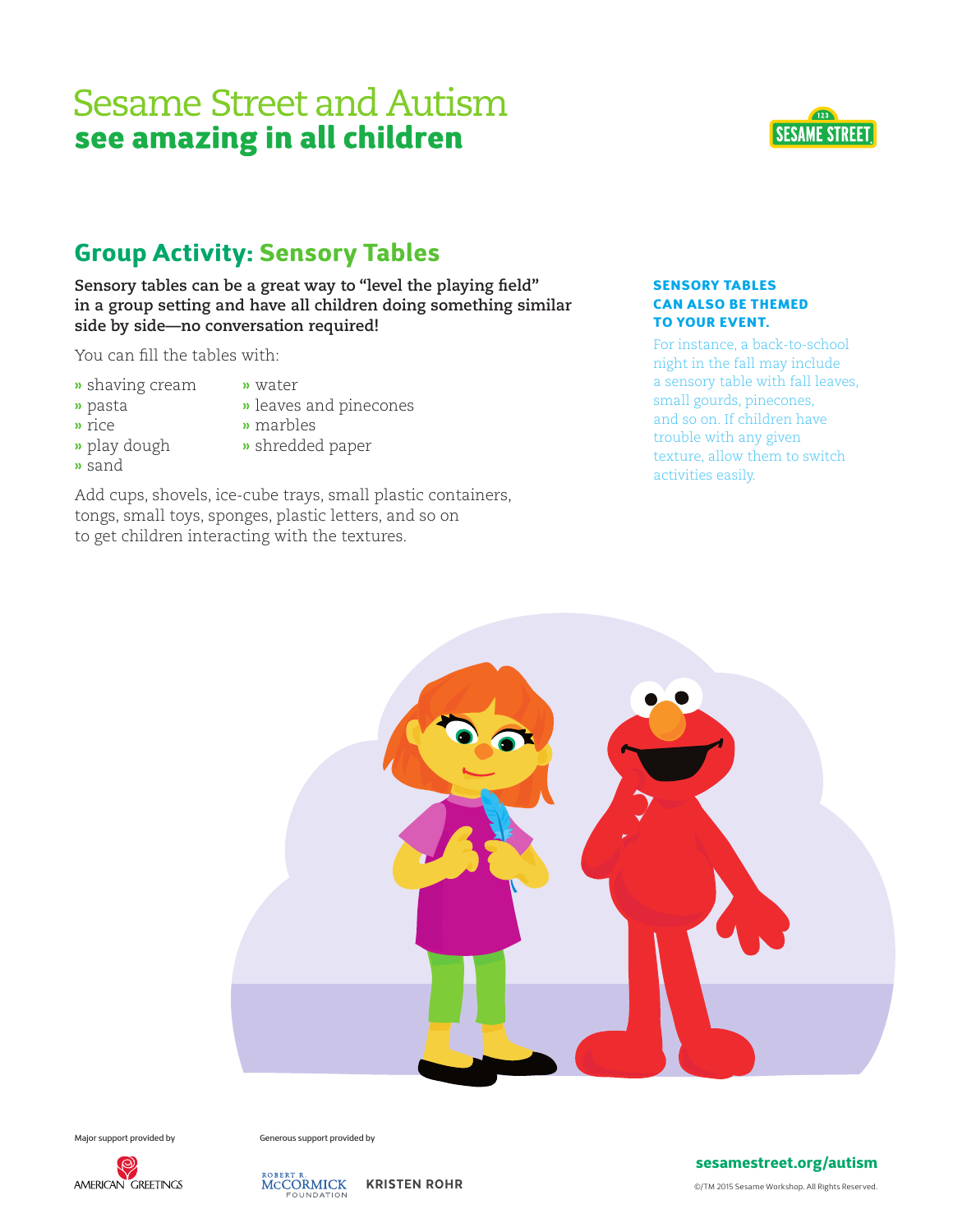

**Sensory tables can be a great way to "level the playing field" in a group setting and have all children doing something similar side by side—no conversation required!** 

You can fill the tables with:

- **»** shaving cream **»** water
- **»** pasta **»** leaves and pinecones
- 
- **»** rice **»** marbles
- **»** play dough **»** shredded paper
- **»** sand
- 
- Add cups, shovels, ice-cube trays, small plastic containers, tongs, small toys, sponges, plastic letters, and so on to get children interacting with the textures.

CAN ALSO BE THEMED TO YOUR EVENT. For instance, a back-to-school

SENSORY TABLES

night in the fall may include a sensory table with fall leaves, small gourds, pinecones, and so on. If children have trouble with any given texture, allow them to switch activities easily.

 $\sqrt{123}$ 

**SESAME STREET** 



Major support provided by Generous support provided by





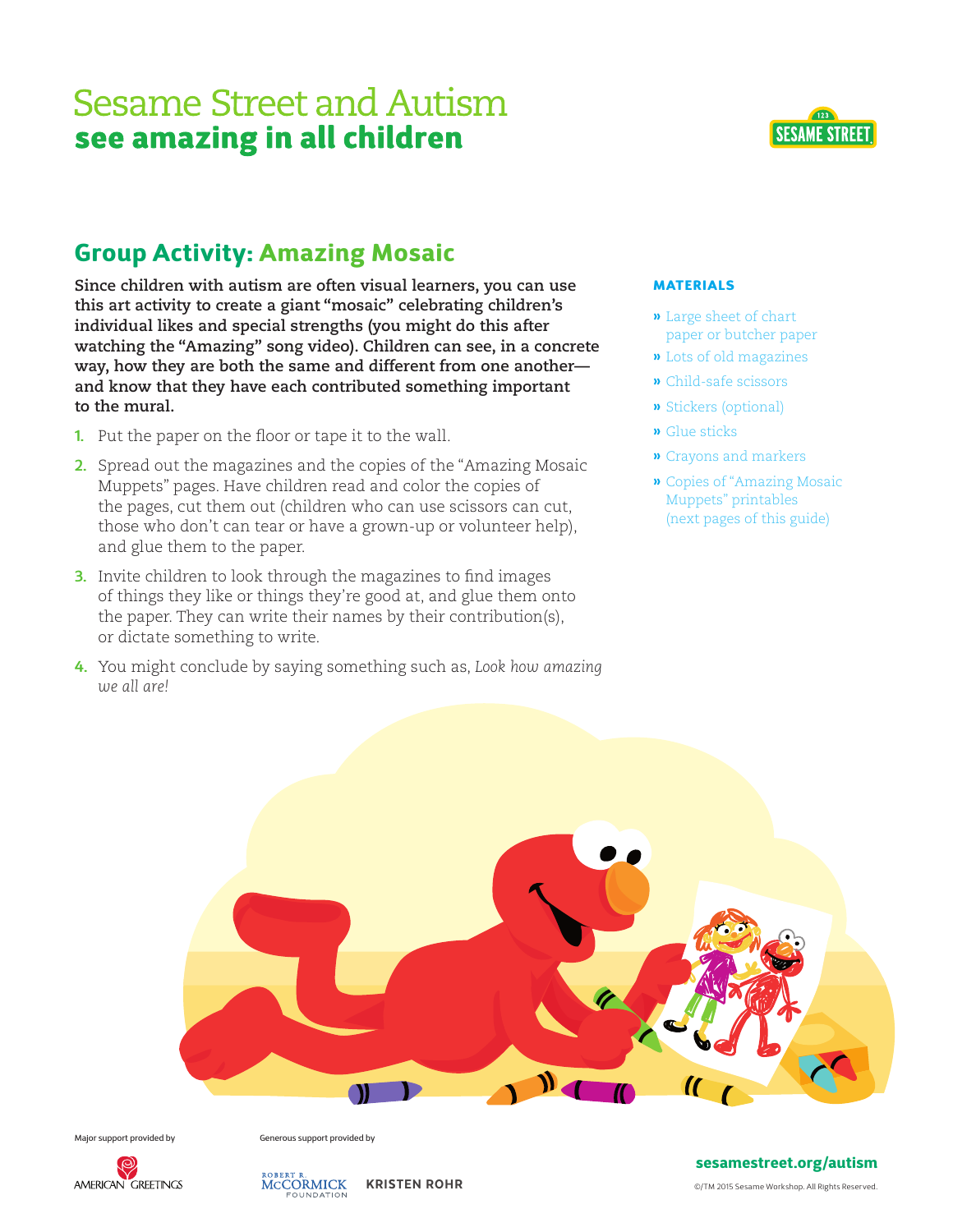

**Since children with autism are often visual learners, you can use this art activity to create a giant "mosaic" celebrating children's individual likes and special strengths (you might do this after watching the "Amazing" song video). Children can see, in a concrete way, how they are both the same and different from one another and know that they have each contributed something important to the mural.** 

- **1.** Put the paper on the floor or tape it to the wall.
- **2.** Spread out the magazines and the copies of the "Amazing Mosaic Muppets" pages. Have children read and color the copies of the pages, cut them out (children who can use scissors can cut, those who don't can tear or have a grown-up or volunteer help), and glue them to the paper.
- **3.** Invite children to look through the magazines to find images of things they like or things they're good at, and glue them onto the paper. They can write their names by their contribution(s), or dictate something to write.
- **4.** You might conclude by saying something such as, *Look how amazing we all are!*



**»** Large sheet of chart paper or butcher paper

**SESAME STREET** 

- **»** Lots of old magazines
- **»** Child-safe scissors
- **»** Stickers (optional)
- **»** Glue sticks
- **»** Crayons and markers
- **»** Copies of "Amazing Mosaic Muppets" printables (next pages of this guide)



Major support provided by Generous support provided by





#### sesamestreet.org/autism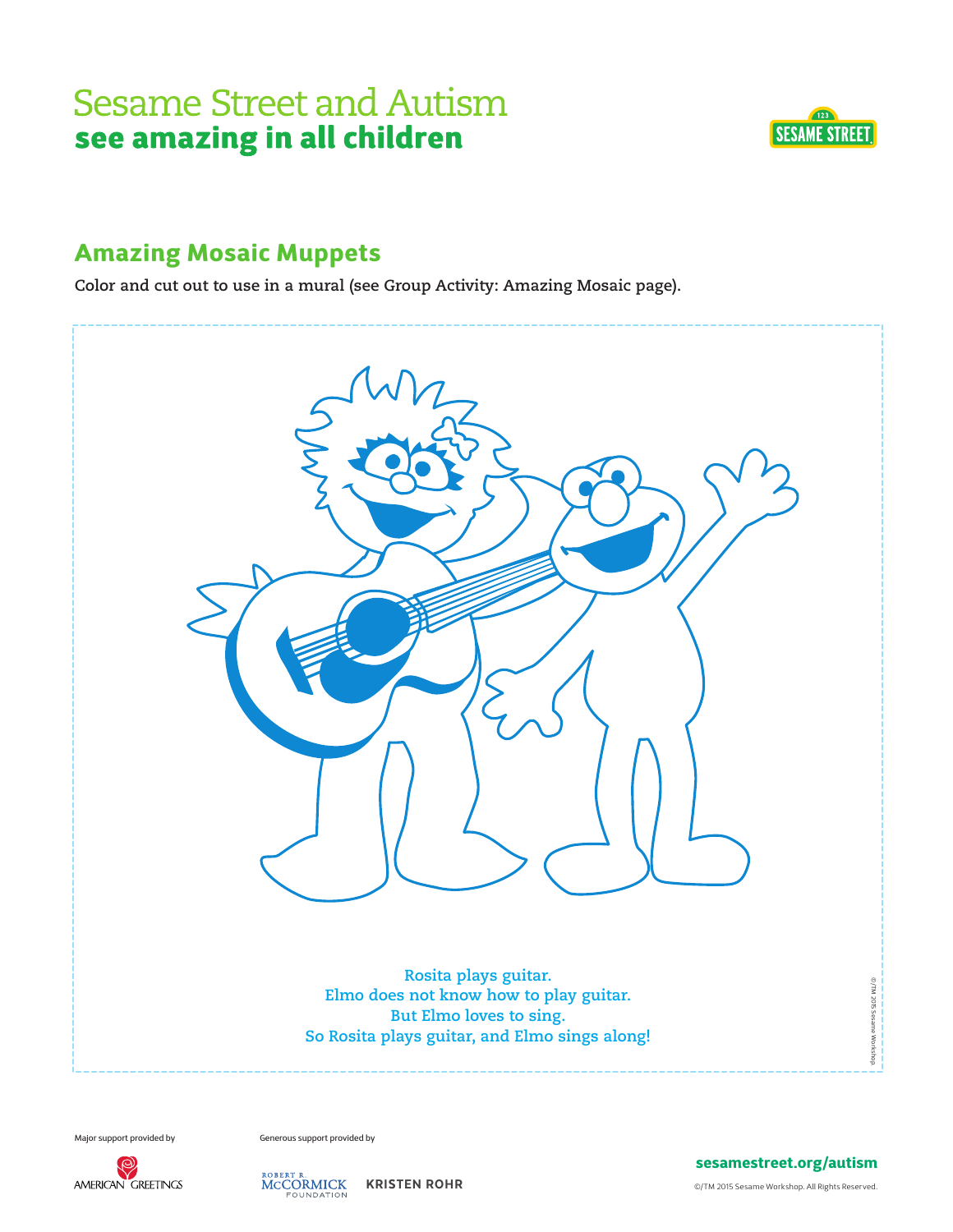

### Amazing Mosaic Muppets

**Color and cut out to use in a mural (see Group Activity: Amazing Mosaic page).** 



Major support provided by Generous support provided by



ROBERT R.<br>MCCORMICK KRISTEN ROHR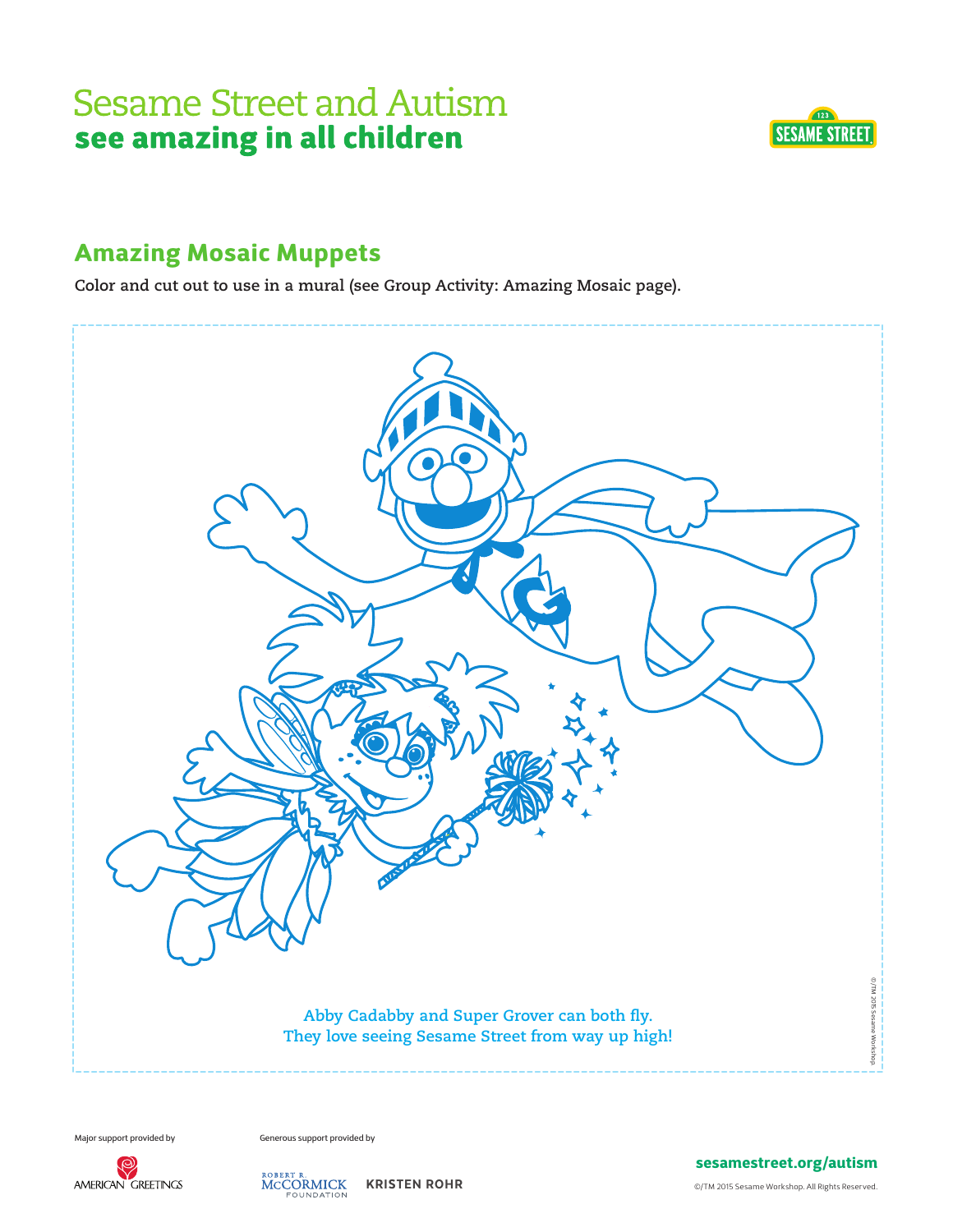

### Amazing Mosaic Muppets

**Color and cut out to use in a mural (see Group Activity: Amazing Mosaic page).** 



Major support provided by Generous support provided by



ROBERT R.<br>MCCORMICK KRISTEN ROHR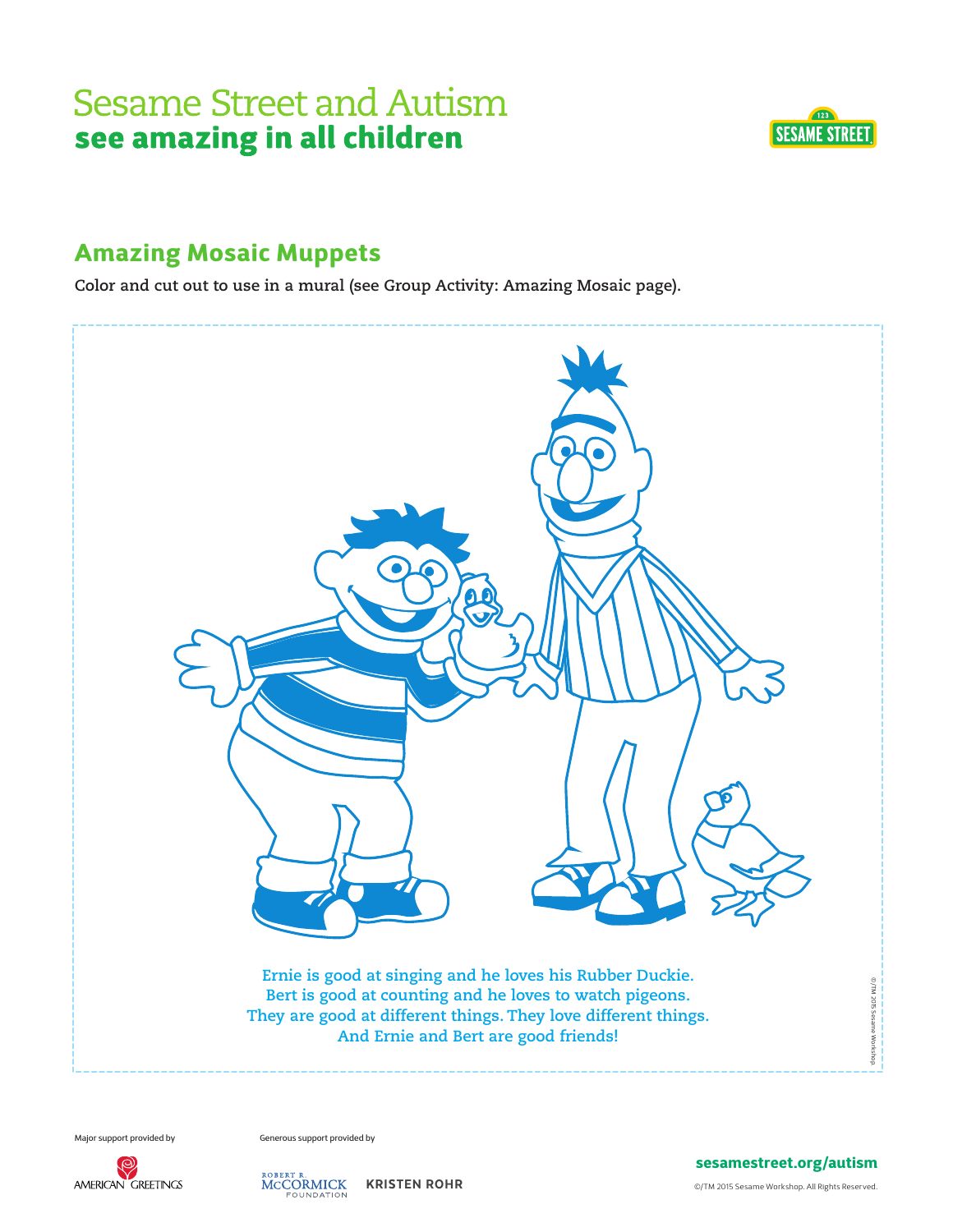

#### Amazing Mosaic Muppets

**Color and cut out to use in a mural (see Group Activity: Amazing Mosaic page).** 



Major support provided by Generous support provided by



ROBERT R.<br>MCCORMICK KRISTEN ROHR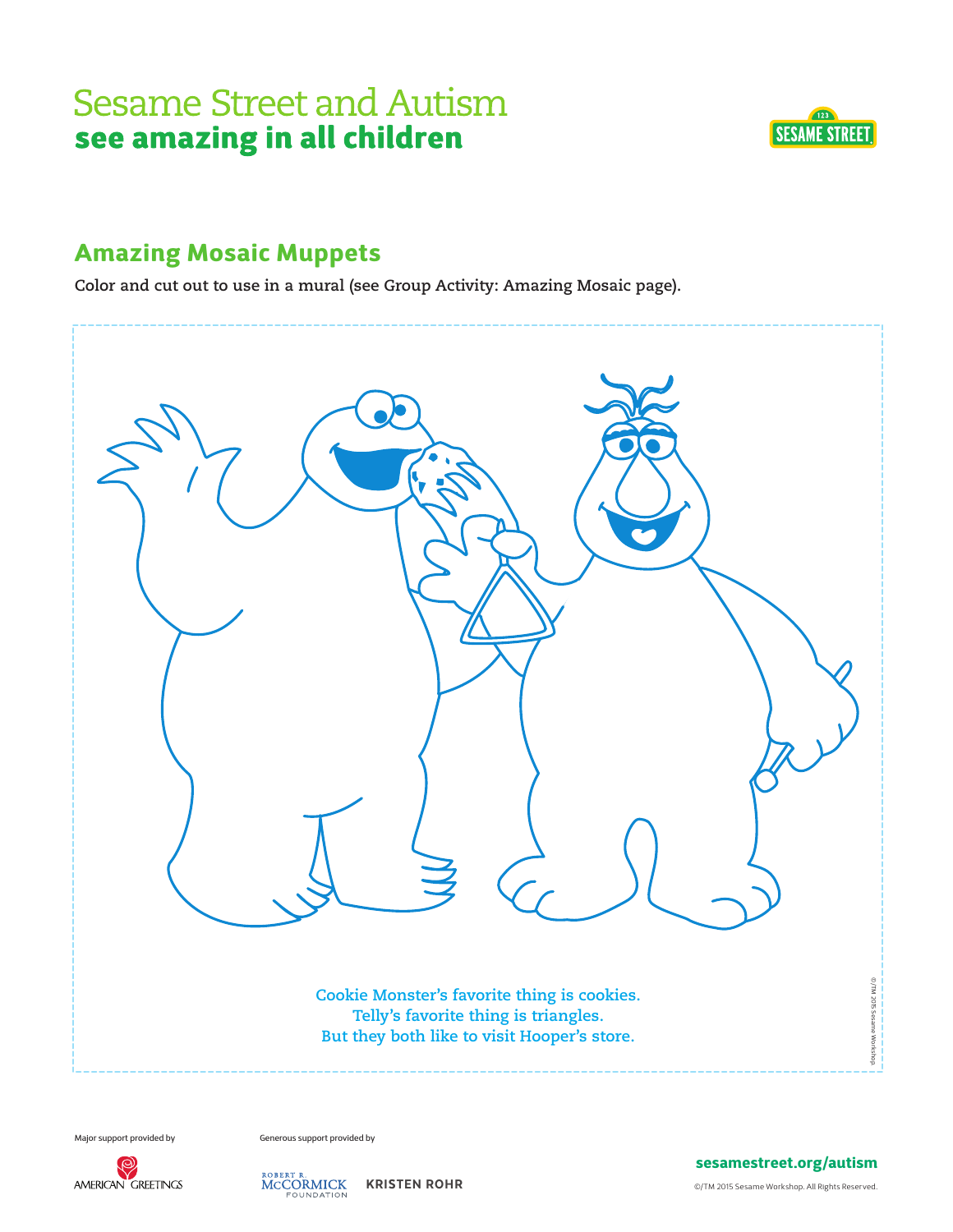

#### Amazing Mosaic Muppets

**Color and cut out to use in a mural (see Group Activity: Amazing Mosaic page).** 



Major support provided by Generous support provided by



ROBERT R.<br>MCCORMICK KRISTEN ROHR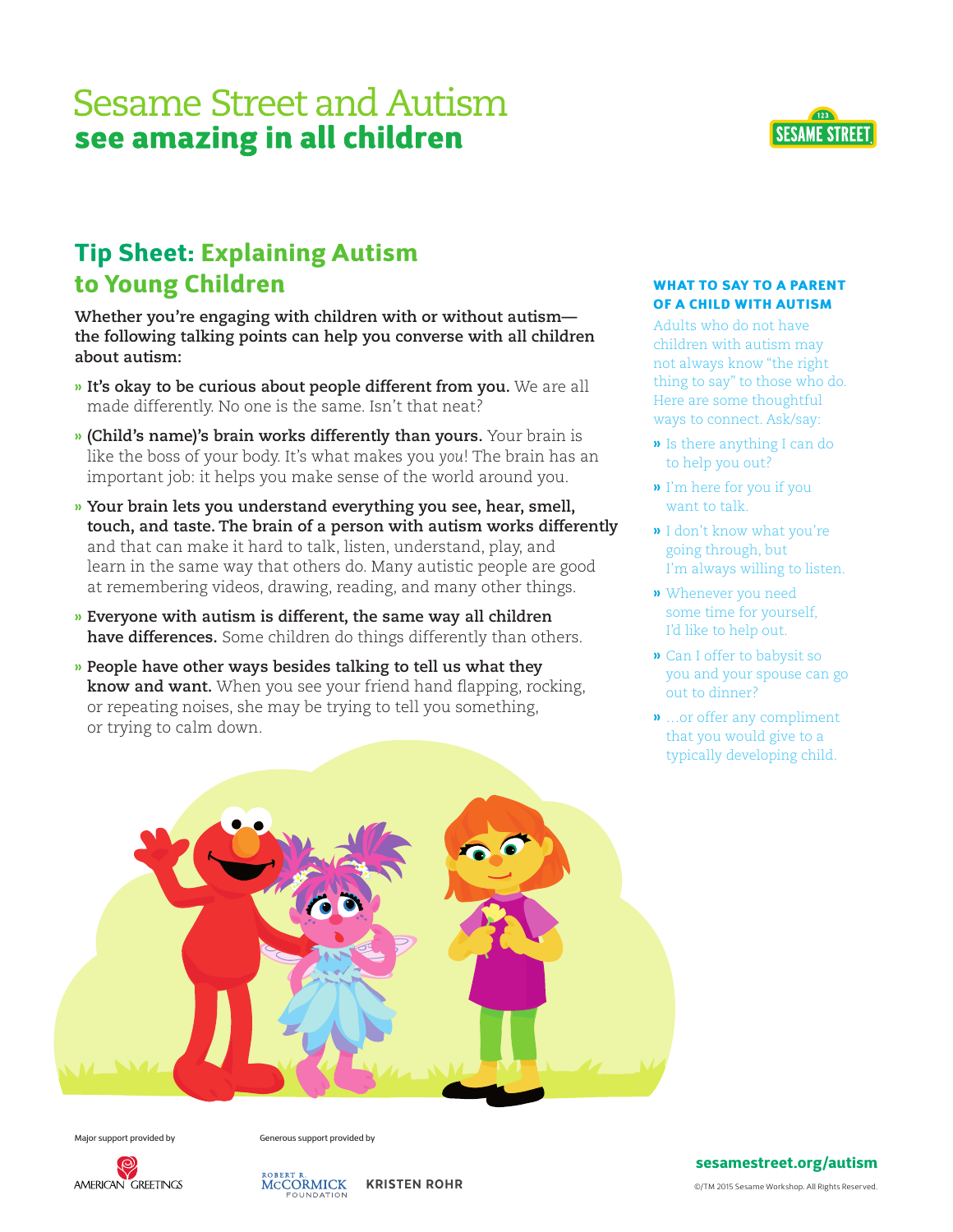

### Tip Sheet: Explaining Autism to Young Children

**Whether you're engaging with children with or without autism the following talking points can help you converse with all children about autism:**

- **» It's okay to be curious about people different from you.** We are all made differently. No one is the same. Isn't that neat?
- **» (Child's name)'s brain works differently than yours.** Your brain is like the boss of your body. It's what makes you *you*! The brain has an important job: it helps you make sense of the world around you.
- **» Your brain lets you understand everything you see, hear, smell, touch, and taste. The brain of a person with autism works differently** and that can make it hard to talk, listen, understand, play, and learn in the same way that others do. Many autistic people are good at remembering videos, drawing, reading, and many other things.
- **» Everyone with autism is different, the same way all children have differences.** Some children do things differently than others.
- **» People have other ways besides talking to tell us what they know and want.** When you see your friend hand flapping, rocking, or repeating noises, she may be trying to tell you something, or trying to calm down.

#### WHAT TO SAY TO A PARENT OF A CHILD WITH AUTISM

Adults who do not have children with autism may not always know "the right thing to say" to those who do. Here are some thoughtful ways to connect. Ask/say:

- **»** Is there anything I can do to help you out?
- **»** I'm here for you if you want to talk.
- **»** I don't know what you're going through, but I'm always willing to listen.
- **»** Whenever you need some time for yourself, I'd like to help out.
- **»** Can I offer to babysit so you and your spouse can go out to dinner?
- **»** …or offer any compliment that you would give to a typically developing child.



Major support provided by Generous support provided by



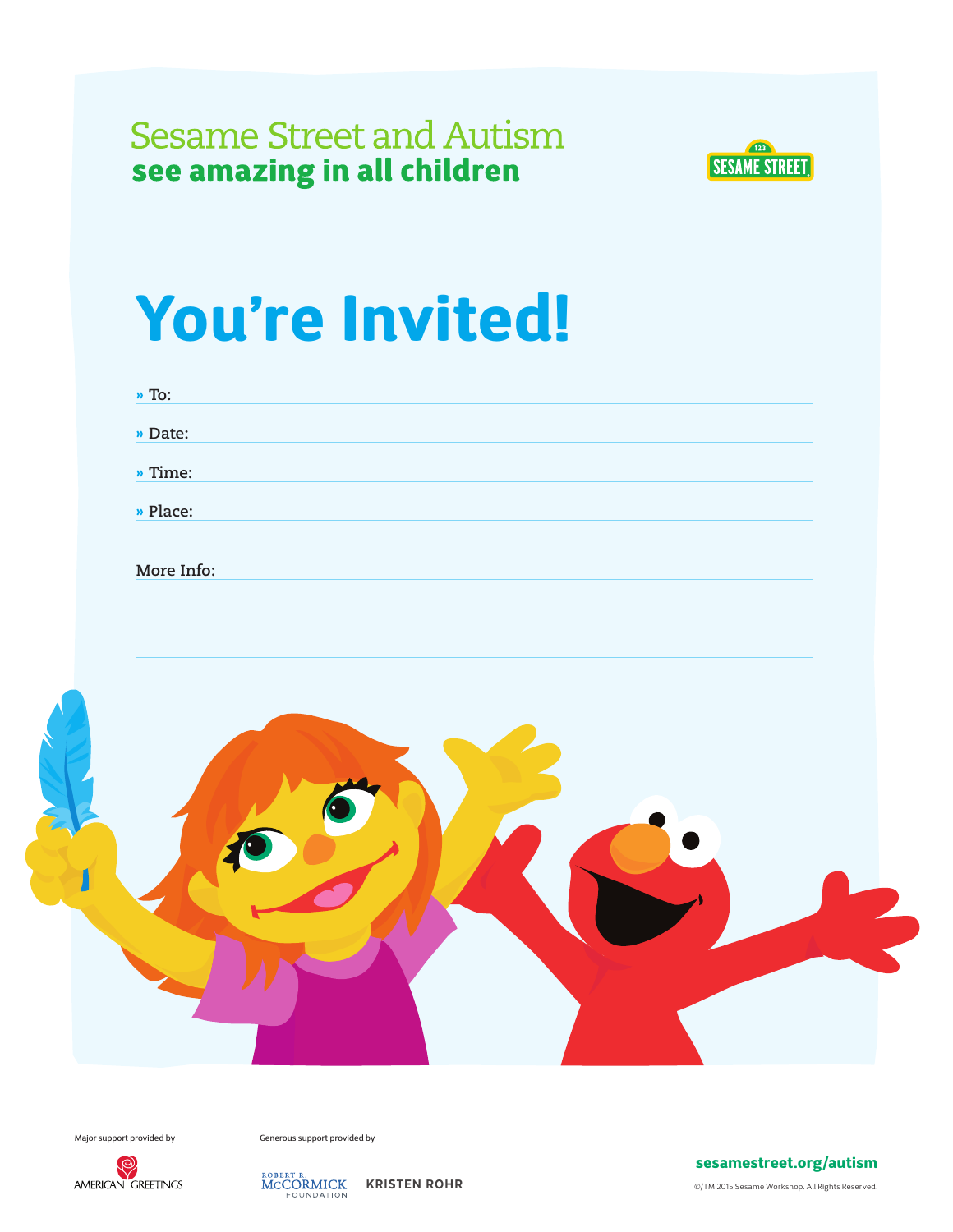

# You're Invited!

| $\frac{1}{2}$ To: |  |  |  |
|-------------------|--|--|--|
| » Date:           |  |  |  |
| » Time:           |  |  |  |
| » Place:          |  |  |  |
| More Info:        |  |  |  |
|                   |  |  |  |
|                   |  |  |  |
|                   |  |  |  |
|                   |  |  |  |
|                   |  |  |  |
|                   |  |  |  |
|                   |  |  |  |
|                   |  |  |  |
|                   |  |  |  |
|                   |  |  |  |
|                   |  |  |  |
|                   |  |  |  |

Major support provided by Generous support provided by



ROBERT R. **KRISTEN ROHR** KOMPATION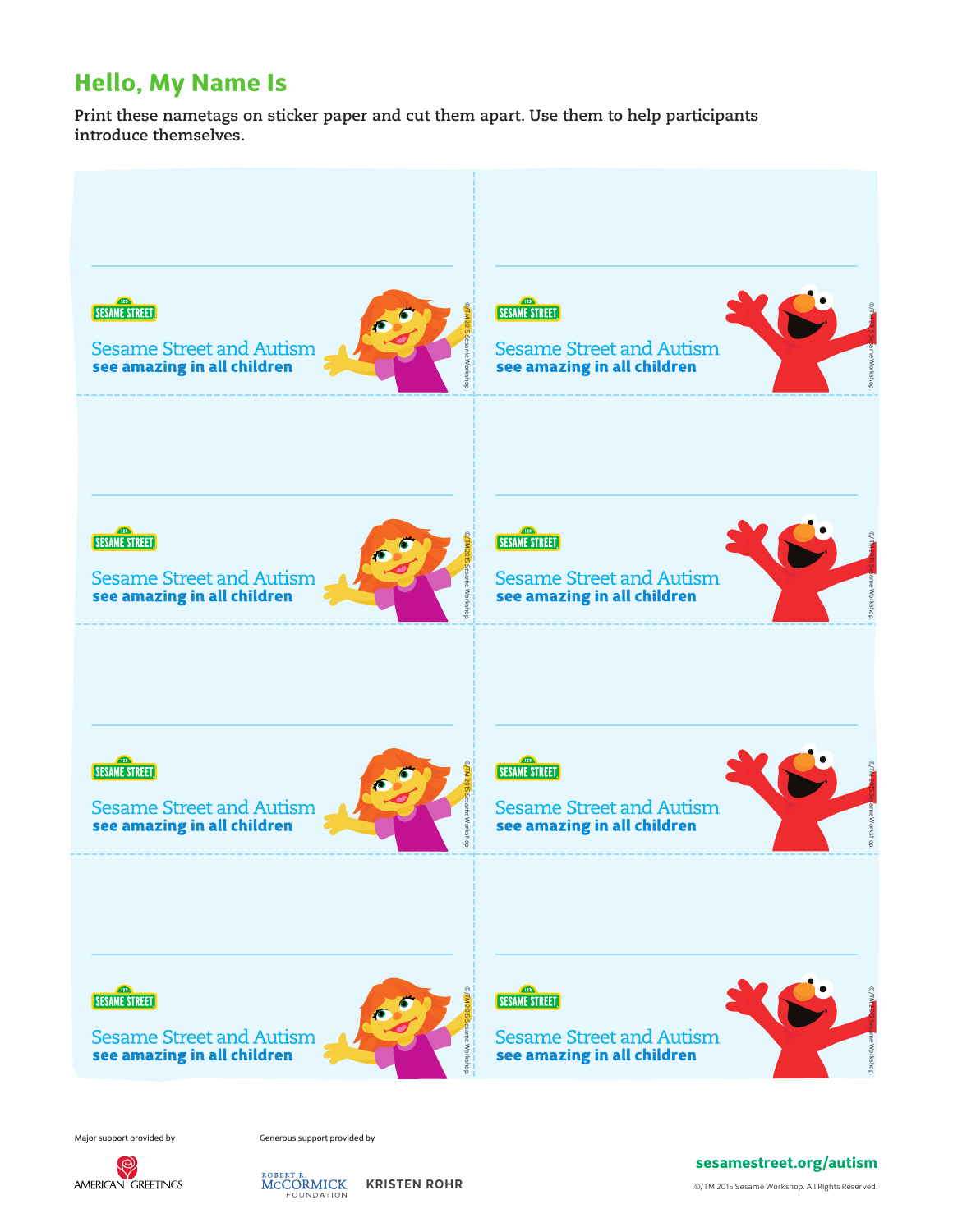### Hello, My Name Is

**Print these nametags on sticker paper and cut them apart. Use them to help participants introduce themselves.** 



Major support provided by Generous support provided by